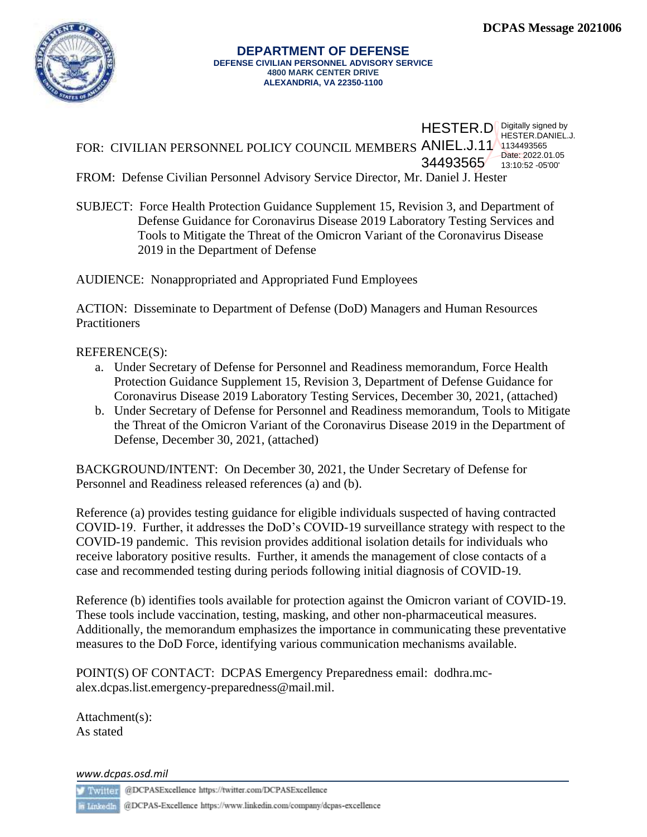

FOR: CIVILIAN PERSONNEL POLICY COUNCIL MEMBERS ANIEL.J.11 1134493565 HESTER.D Digitally signed by 34493565 13:10:52 -05'00 HESTER.DANIEL.J. Date: 2022.01.05

FROM: Defense Civilian Personnel Advisory Service Director, Mr. Daniel J. Hester

SUBJECT: Force Health Protection Guidance Supplement 15, Revision 3, and Department of Defense Guidance for Coronavirus Disease 2019 Laboratory Testing Services and Tools to Mitigate the Threat of the Omicron Variant of the Coronavirus Disease 2019 in the Department of Defense

AUDIENCE: Nonappropriated and Appropriated Fund Employees

ACTION: Disseminate to Department of Defense (DoD) Managers and Human Resources **Practitioners** 

## REFERENCE(S):

- a. Under Secretary of Defense for Personnel and Readiness memorandum, Force Health Protection Guidance Supplement 15, Revision 3, Department of Defense Guidance for Coronavirus Disease 2019 Laboratory Testing Services, December 30, 2021, (attached)
- b. Under Secretary of Defense for Personnel and Readiness memorandum, Tools to Mitigate the Threat of the Omicron Variant of the Coronavirus Disease 2019 in the Department of Defense, December 30, 2021, (attached)

BACKGROUND/INTENT: On December 30, 2021, the Under Secretary of Defense for Personnel and Readiness released references (a) and (b).

Reference (a) provides testing guidance for eligible individuals suspected of having contracted COVID-19. Further, it addresses the DoD's COVID-19 surveillance strategy with respect to the COVID-19 pandemic. This revision provides additional isolation details for individuals who receive laboratory positive results. Further, it amends the management of close contacts of a case and recommended testing during periods following initial diagnosis of COVID-19.

Reference (b) identifies tools available for protection against the Omicron variant of COVID-19. These tools include vaccination, testing, masking, and other non-pharmaceutical measures. Additionally, the memorandum emphasizes the importance in communicating these preventative measures to the DoD Force, identifying various communication mechanisms available.

POINT(S) OF CONTACT: DCPAS Emergency Preparedness email: [dodhra.mc](mailto:dodhra.mc-alex.dcpas.list.emergency-preparedness@mail.mil)[alex.dcpas.list.emergency-preparedness@mail.mil.](mailto:dodhra.mc-alex.dcpas.list.emergency-preparedness@mail.mil)

Attachment(s): As stated

*www.dcpas.osd.mil*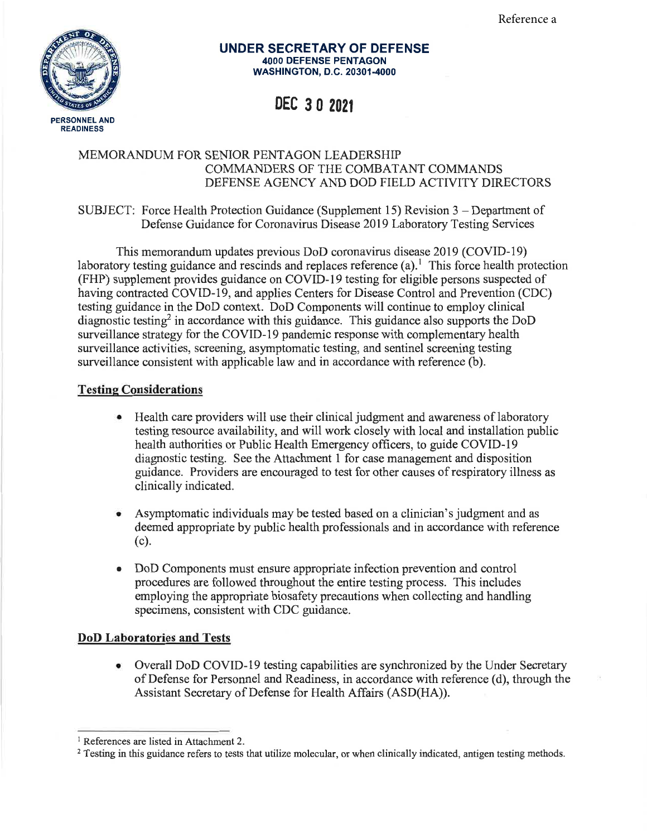

#### UNDER SECRETARY OF DEFENSE 4OOO DEFENSE PENTAGON WASHINGTON, D.C. 20301-4000

# DEC 3 0 <sup>2021</sup>

### MEMORANDUM FOR SENIOR PENTAGON LEADERSHIP COMMANDERS OF THE COMBATANT COMMANDS DEFENSE AGENCY AND DOD FIELD ACTIVITY DIRECTORS

### SUBJECT: Force Health Protection Guidance (Supplement 15) Revision 3 - Department of Defense Guidance for Coronavirus Disease 2019 Laboratory Testing Services

This memorandum updates previous DoD coronavirus disease 2019 (COVID-I9) laboratory testing guidance and rescinds and replaces reference  $(a)$ .<sup>1</sup> This force health protection (FHP) supplement provides guidance on COVID-19 testing for eligible persons suspected of having contracted COVID-19, and applies Centers for Disease Control and Prevention (CDC) testing guidance in the DoD context. DoD Components will continue to employ clinical diagnostic testing<sup>2</sup> in accordance with this guidance. This guidance also supports the DoD surveillance strategy for the COVID-19 pandemic response with complementary health surveillance activities, screening, asymptomatic testing, and sentinel screening testing surveillance consistent with applicable law and in accordance with reference (b).

## Testing Considerations

- $\bullet$ Health care providers will use their clinical judgment and awareness of laboratory testing resource availability, and will work closely with local and installation public health authorities or Public Health Emergency officers, to guide COVID-l9 diagnostic testing. See the Attachment 1 for case management and disposition guidance. Providers are encouraged to test for other causes ofrespiratory illness as clinically indicated.
- Asymptomatic individuals may be tested based on a clinician's judgment and as a deemed appropriate by public health professionals and in accordance with reference (c).
- DoD Components must ensure appropriate infection prevention and control procedures are followed throughout the entire testing process. This includes employing the appropriate biosafety precautions when collecting and handling specimens, consistent with CDC guidance. a

#### DoD Laboratories and Tests

• Overall DoD COVID-19 testing capabilities are synchronized by the Under Secretary of Defense for Personnel and Readiness, in accordance with reference (d), through the Assistant Secretary of Defense for Health Affairs (ASD(HA)).

<sup>&</sup>lt;sup>1</sup> References are listed in Attachment 2.

<sup>&</sup>lt;sup>2</sup> Testing in this guidance refers to tests that utilize molecular, or when clinically indicated, antigen testing methods.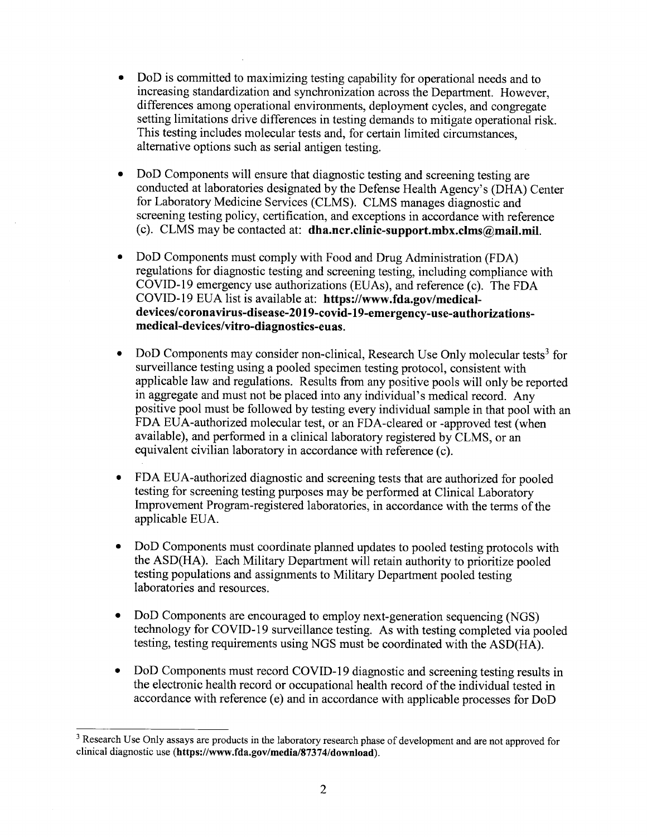- $\bullet$ DoD is committed to maximizing testing capability for operational needs and to increasing standardization and synchronization across the Department. However, differences among operational environments, deployment cycles, and congregate setting limitations drive differences in testing demands to mitigate operational risk. This testing includes molecular tests and, for certain limited circumstances, altemative options such as serial antigen testing.
- o DoD Components will ensure that diagnostic testing and screening testing are conducted at laboratories designated by the Defense Health Agency's (DHA) Center for Laboratory Medicine Services (CLMS). CLMS manages diagnostic and screening testing policy, certification, and exceptions in accordance with reference (c). CLMS may be contacted at: dha.ncr.clinic-support.mbx.clms@mail.mil.
- $\bullet$ DoD Components must comply with Food and Drug Administration (FDA) regulations for diagnostic testing and screening testing, including compliance with COVID-19 emergency use authorizations (EUAs), and reference (c). The FDA COVID-l9 EUA list is available at: https://www.fda.gov/medicaldevices/coronavirus-disease-2019-covid-19-emergency-use-authorizationsmedical-devices/vitro-diagnostics-euas.
- DoD Components may consider non-clinical, Research Use Only molecular tests<sup>3</sup> for surveillance testing using a pooled specimen testing protocol, consistent with applicable law and regulations. Results from any positive pools will only be reported in aggregate and must not be placed into any individual's medical record. Any positive pool must be followed by testing every individual sample in that pool with an FDA EUA-authorized molecular test, or an FDA-cleared or -approved test (when available), and performed in a clinical laboratory registered by CLMS, or an equivalent civilian laboratory in accordance with reference (c). o
- FDA EUA-authorized diagnostic and screening tests that are authorized for pooled testing for screening testing purposes may be performed at Clinical Laboratory Improvement Program-registered laboratories, in accordance with the terms of the applicable EUA. a
- DoD Components must coordinate planned updates to pooled testing protocols with the ASD(HA). Each Military Department will retain authority to prioritize pooled testing populations and assignments to Military Department pooled testing laboratories and resources. a
- DoD Components are encouraged to employ next-generation sequencing (NGS) technology for COVID-I9 surveillance testing. As with testing completed via pooled testing, testing requirements using NGS must be coordinated with the ASD(HA). a
- DoD Components must record COVID-19 diagnostic and screening testing results in the electronic health record or occupational health record of the individual tested in accordance with reference (e) and in accordance with applicable processes for DoD a

<sup>&</sup>lt;sup>3</sup> Research Use Only assays are products in the laboratory research phase of development and are not approved for clinical diagnostic use (https://www.fda.gov/media/87374/download).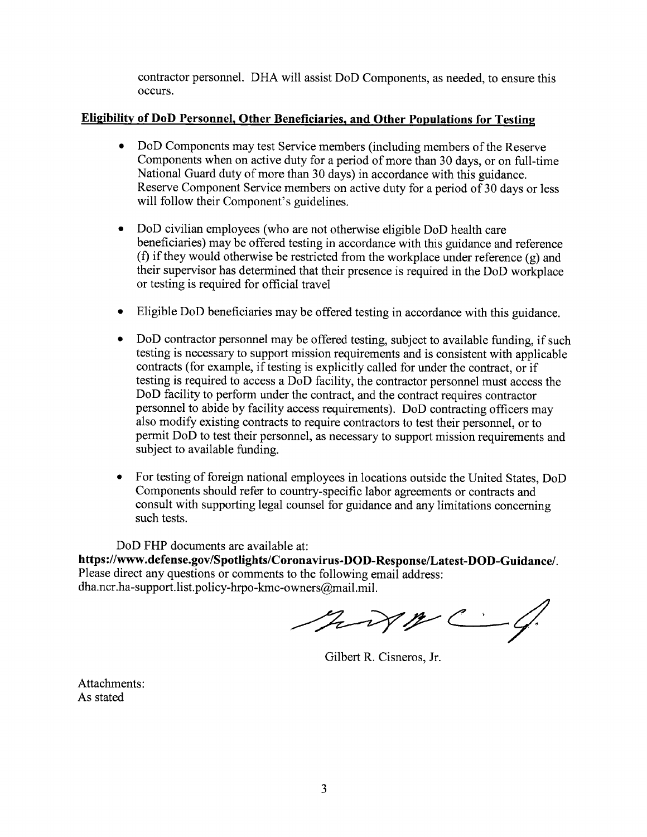contractor personnel. DHA will assist DoD Components, as needed, to ensure this occurs.

## Eligibilitv of DoD Personnel. Other Beneficiaries. and Other Populations for Testing

- DoD Components may test Service members (including members of the Reserve Components when on active duty for a period of more than 30 days, or on full-time National Guard duty of more than 30 days) in accordance with this guidance. Reserve Component Service members on active duty for a period of 30 days or less will follow their Component's guidelines.
- DoD civilian employees (who are not otherwise eligible DoD health care beneficiaries) may be offered testing in accordance with this guidance and reference (f) if they would otherwise be restricted from the workplace under reference  $(g)$  and their supervisor has determined that their presence is required in the DoD workplace or testing is required for official travel o
- Eligible DoD beneficiaries may be offered testing in accordance with this guidance.
- $\bullet$ DoD contractor personnel may be offered testing, subject to available funding, if such testing is necessary to support mission requirements and is consistent with applicable contracts (for example, if testing is explicitly called for under the contract, or if testing is required to access a DoD facility, the contractor personnel must access the DoD facility to perform under the contract, and the contract requires contractor personnel to abide by facility access requirements). DoD contracting officers may also modify existing contracts to require contractors to test their personnel, or to permit DoD to test their personnel, as necessary to support mission requirements and subject to available funding.
- o For testing of foreign national employees in locations outside the United States, DoD Components should refer to country-specific labor agreements or contracts and consult with supporting legal counsel for guidance and any limitations concerning such tests.

DoD FHP documents are available at:

https://www.defense.gov/Spotlights/Coronavirus-DOD-Response/Latest-DOD-Guidance/. Please direct any questions or comments to the following email address: dha.ncr.ha-support. list.policy-hrpo-kmc-owners@mail.mil.

Mixmc - 4.

Gilbert R. Cisneros, Jr

Attachments: As stated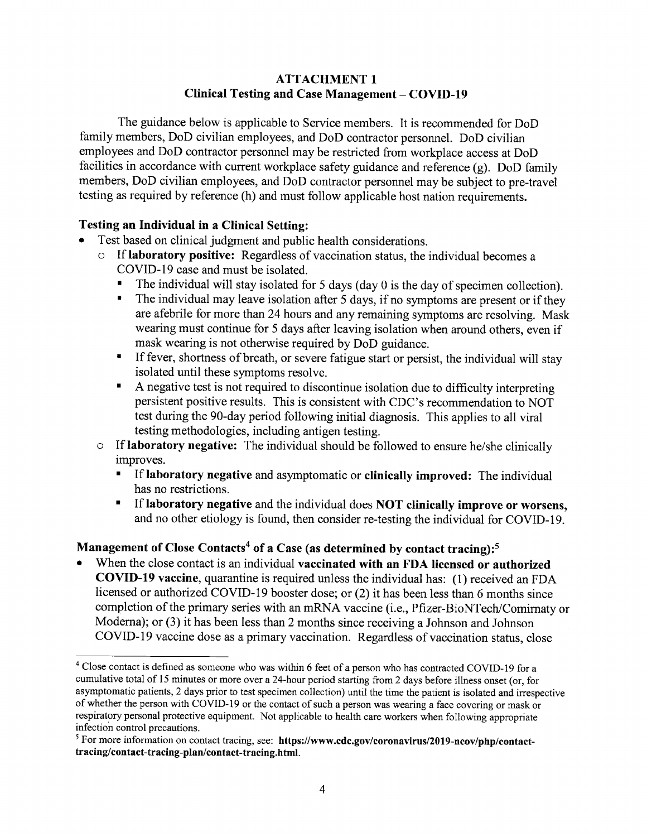## ATTACHMENT <sup>1</sup> Clinical Testing and Case Management - COVID-19

The guidance below is applicable to Service members. It is recommended for DoD family members, DoD civilian employees, and DoD contractor personnel. DoD civilian employees and DoD contractor personnel may be restricted from workplace access at DoD facilities in accordance with current workplace safety guidance and reference (g). DoD family members, DoD civilian employees, and DoD contractor personnel may be subject to pre-travel testing as required by reference (h) and must follow applicable host nation requirements.

## Testing an Individual in a Clinical Setting:

- Test based on clinical judgment and public health considerations.
	- o If laboratory positive: Regardless of vaccination status, the individual becomes <sup>a</sup> COVID-I9 case and must be isolated.
		- The individual will stay isolated for 5 days (day 0 is the day of specimen collection).<br>■ The individual may leave isolation after 5 days if no symptoms are present or if they
		- The individual may leave isolation after 5 days, if no symptoms are present or if they are afebrile for more than24 hours and any remaining symptoms are resolving. Mask wearing must continue for 5 days after leaving isolation when around others, even if mask wearing is not otherwise required by DoD guidance.
		- ' If fever, shortness of breath, or severe fatigue start or persist, the individual will stay
		- $\blacksquare$  A negative test is not required to discontinue isolation due to difficulty interpreting persistent positive results. This is consistent with CDC's recommendation to NOT test during the 90-day period following initial diagnosis. This applies to all viral testing methodologies, including antigen testing.
	- o If laboratory negative: The individual should be followed to ensure he/she clinically improves.
		- ' If laboratory negative and asymptomatic or clinically improved: The individual has no restrictions.
		- ' If laboratory negative and the individual does NOT clinically improve or worsens, and no other etiology is found, then consider re-testing the individual for COVID-I9.

## Management of Close Contacts<sup>4</sup> of a Case (as determined by contact tracing):<sup>5</sup>

When the close contact is an individual vaccinated with an FDA licensed or authorized COVID-l9 vaccine, quarantine is required unless the individual has: (l) received an FDA licensed or authorized COVID-I9 booster dose; or (2) it has been less than 6 months since completion of the primary series with an mRNA vaccine (i.e., Pfizer-BioNTech/Comirnaty or Moderna); or (3) it has been less than 2 months since receiving a Johnson and Johnson COVID-19 vaccine dose as a primary vaccination. Regardless of vaccination status, close

 $4$  Close contact is defined as someone who was within 6 feet of a person who has contracted COVID-19 for a cumulative total of l5 minutes or more over a 24-hour period starting from2 days before illness onset (or, for asymptomatic patients, 2 days prior to test specimen collection) until the time the patient is isolated and irrespective of whether the person with COVID-19 or the contact of such a person was wearing a face covering or mask or respiratory personal protective equipment. Not applicable to health care workers when following appropriate infection control precautions.

 $5$  For more information on contact tracing, see: https://www.cdc.gov/coronavirus/2019-ncov/php/contacttracing/contact-tracing-plan/contact-tracing.html.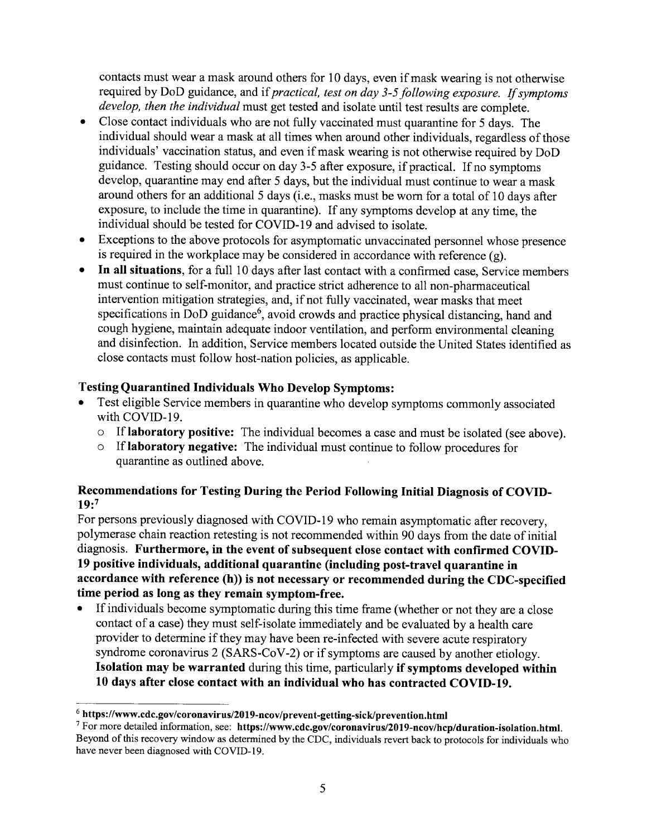contacts must wear a mask around others for 10 days, even if mask wearing is not otherwise required by DoD guidance, and if practical, test on day 3-5 following exposure. If symptoms develop, then the *individual* must get tested and isolate until test results are complete.

- a Close contact individuals who are not fully vaccinated must quarantine for 5 days. The individual should wear a mask at all times when around other individuals, regardless of those individuals' vaccination status, and even if mask wearing is not otherwise required by DoD guidance. Testing should occur on day 3-5 after exposure, if practical. If no symptoms develop, quarantine may end after 5 days, but the individual must continue to wear a mask around others for an additional 5 days (i.e., masks must be worn for a total of 10 days after exposure, to include the time in quarantine). If any symptoms develop at any time, the individual should be tested for COVID-19 and advised to isolate.
- Exceptions to the above protocols for asymptomatic unvaccinated personnel whose presence is required in the workplace may be considered in accordance with reference  $(g)$ . o
- In all situations, for a full 10 days after last contact with a confirmed case, Service members must continue to self-monitor, and practice strict adherence to all non-pharmaceutical intervention mitigation strategies, and, if not fully vaccinated, wear masks that meet specifications in DoD guidance<sup>6</sup>, avoid crowds and practice physical distancing, hand and cough hygiene, maintain adequate indoor ventilation, and perform environmental cleaning and disinfection. In addition, Service members located outside the United States identified as close contacts must follow host-nation policies, as applicable. a

## Testing Quarantined Individuals Who Develop Symptoms:

- Test eligible Service members in quarantine who develop symptoms commonly associated with COWD-I9.
	- $\circ$  If laboratory positive: The individual becomes a case and must be isolated (see above).
	- o If laboratory negative: The individual must continue to follow procedures for quarantine as outlined above.

## Recommendations for Testing During the Period Following Initial Diagnosis of COVID- $19:7$

For persons previously diagnosed with COVID-l9 who remain asymptomatic after recovery, polymerase chain reaction retesting is not recommended within 90 days from the date of initial diagnosis. Furthermore, in the event of subsequent close contact with confirmed COVID-19 positive individuals, additional quarantine (including post-travel quarantine in accordance with reference (h)) is not necessary or recommended during the CDC-specified time period as long as they remain symptom-free.

If individuals become symptomatic during this time frame (whether or not they are a close contact of a case) they must self-isolate immediately and be evaluated by a health care provider to determine if they may have been re-infected with severe acute respiratory syndrome coronavirus 2 (SARS-CoV-2) or if symptoms are caused by another etiology. Isolation may be warranted during this time, particularly if symptoms developed within 10 days after close contact with an individual who has contracted COVID-|9.

 $6$  https://www.cdc.gov/coronavirus/2019-ncov/prevent-getting-sick/prevention.html

<sup>&</sup>lt;sup>7</sup> For more detailed information, see: https://www.cdc.gov/coronavirus/2019-ncov/hcp/duration-isolation.html. Beyond of this recovery window as determined by the CDC, individuals revert back to protocols for individuals who have never been diagnosed with COVID-I9.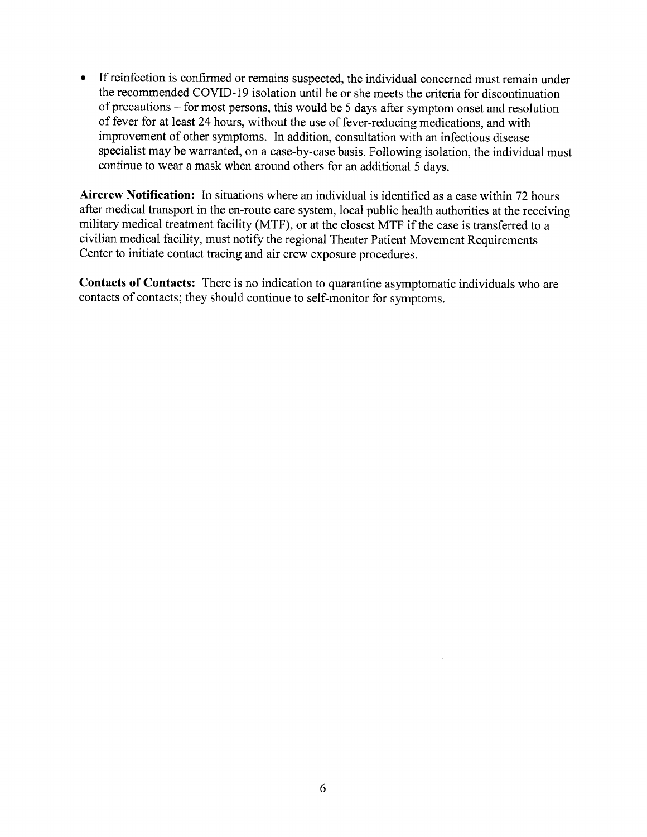<sup>o</sup> If reinfection is confirmed or remains suspected, the individual concerned must remain under the recommended COVID-19 isolation until he or she meets the criteria for discontinuation of precautions - for most persons, this would be 5 days after symptom onset and resolution of fever for at least24 hours, without the use of fever-reducing medications, and with improvement of other symptoms. In addition, consultation with an infectious disease specialist may be warranted, on a case-by-case basis. Following isolation, the individual must continue to wear a mask when around others for an additional 5 days.

Aircrew Notification: In situations where an individual is identified as a case within 72 hours after medical transport in the en-route care system, local public health authorities at the receiving military medical treatment facility (MTF), or at the closest MTF if the case is transferred to <sup>a</sup> civilian medical facility, must notify the regional Theater Patient Movement Requirements Center to initiate contact tracing and air crew exposure procedures.

Contacts of Contacts: There is no indication to quarantine asymptomatic individuals who are contacts of contacts; they should continue to self-monitor for symptoms.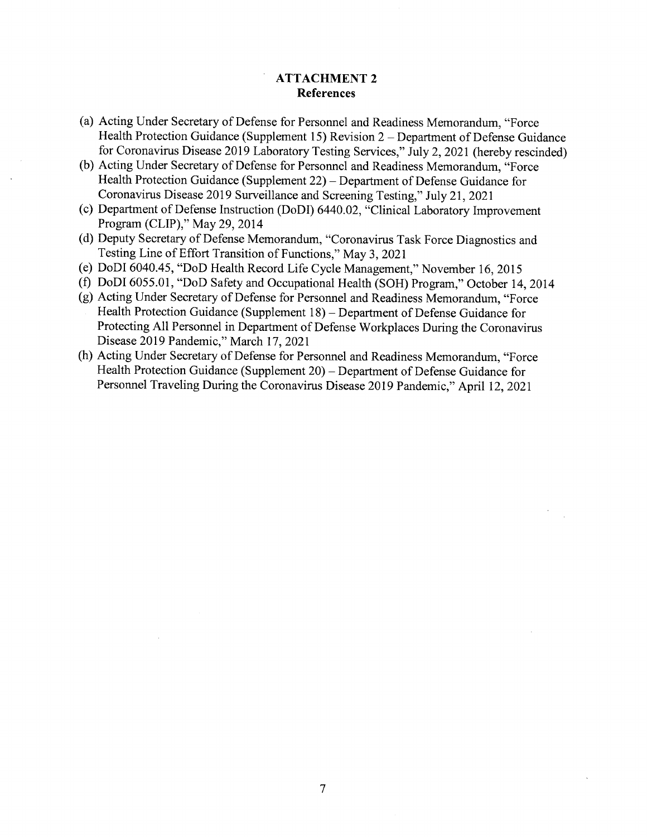### ATTACHMENT 2 References

- (a) Acting Under Secretary of Defense for Personnel and Readiness Memorandum, "Force Health Protection Guidance (Supplement 15) Revision 2 - Department of Defense Guidance for Coronavirus Disease 2019 Laboratory Testing Services," July 2, 2021 (hereby rescinded)
- (b) Acting Under Secretary of Defense for Personnel and Readiness Memorandum, "Force Health Protection Guidance (Supplement  $22$ ) – Department of Defense Guidance for Coronavirus Disease 2019 Surveillance and Screening Testing," July 21,202I
- (c) Department of Defense Instruction (DoDI) 6440.02, "Clinical Laboratory Improvement Program (CLIP)," May 29,2014
- (d) Deputy Secretary of Defense Memorandum, "Coronavirus Task Force Diagnostics and Testing Line of Effort Transition of Functions," May 3,2021
- (e) DoDI 6040.45, "DoD Health Record Life cycle Management," November 16,2015
- (f) DoDI6055.01, "DoD Safety and Occupational Health (SOH) Program," October 14,2014
- (g) Acting Under Secretary of Defense for Personnel and Readiness Memorandum, "Force Health Protection Guidance (Supplement 18) - Department of Defense Guidance for Protecting All Personnel in Department of Defense Workplaces During the Coronavirus Disease 2019 Pandemic," March 17, 2021
- (h) Acting Under Secretary of Defense for Personnel and Readiness Memorandum, "Force Health Protection Guidance (Supplement 20) – Department of Defense Guidance for Personnel Traveling During the Coronavirus Disease 2019 Pandemic," April 12, 2021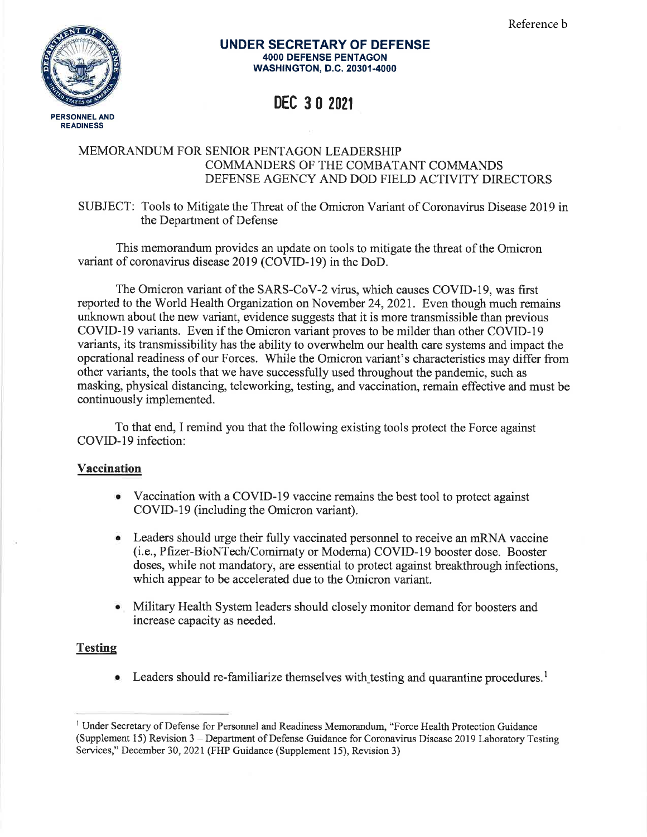

#### UNDER SECRETARY OF DEFENSE 4OOO DEFENSE PENTAGON WASH|NGTON, D.C. 20301-4000

# DEC 3 0 <sup>2021</sup>

## MEMORANDUM FOR SENIOR PENTAGON LEADERSHIP COMMANDERS OF THE COMBATANT COMMANDS DEFENSE AGENCY AND DOD FIELD ACTIVITY DIRECTORS

SUBJECT: Tools to Mitigate the Threat of the Omicron Variant of Coronavirus Disease 2019 in the Department of Defense

This memorandum provides an update on tools to mitigate the threat of the Omicron variant of coronavirus disease 2019 (COVID-I9) in the DoD.

The Omicron variant of the SARS-CoV-2 virus, which causes COVID-19, was first reported to the World Health Organization on November 24,2021. Even though much remains unknown about the new variant, evidence suggests that it is more transmissible than previous COVID-l9 variants. Even if the Omicron variant proves to be milder than other COVID-I9 variants, its transmissibility has the ability to overwhelm our health care systems and impact the operational readiness of our Forces. While the Omicron variant's characteristics may differ from other variants, the tools that we have successfully used throughout the pandemic, such as masking, physical distancing, teleworking, testing, and vaccination, remain effective and must be continuously implemented.

To that end, I remind you that the following existing tools protect the Force against COVID-19 infection:

#### Vaccination

- Vaccination with a COVID-19 vaccine remains the best tool to protect against COVID-I9 (including the Omicron variant).
- Leaders should urge their fully vaccinated personnel to receive an mRNA vaccine (i.e., Pfizer-BioNTech/Comirnaty or Moderna) COVID-I9 booster dose. Booster doses, while not mandatory, are essential to protect against breakthrough infections, which appear to be accelerated due to the Omicron variant.
- Military Health System leaders should closely monitor demand for boosters and increase capacity as needed.

## **Testing**

**Leaders should re-familiarize themselves with testing and quarantine procedures.** 

<sup>&</sup>lt;sup>1</sup> Under Secretary of Defense for Personnel and Readiness Memorandum, "Force Health Protection Guidance (Supplement 15) Revision 3 - Department of Defense Guidance for Coronavirus Disease 2019 Laboratory Testing Services," December 30,2021 (FHP Guidance (Supplement l5), Revision 3)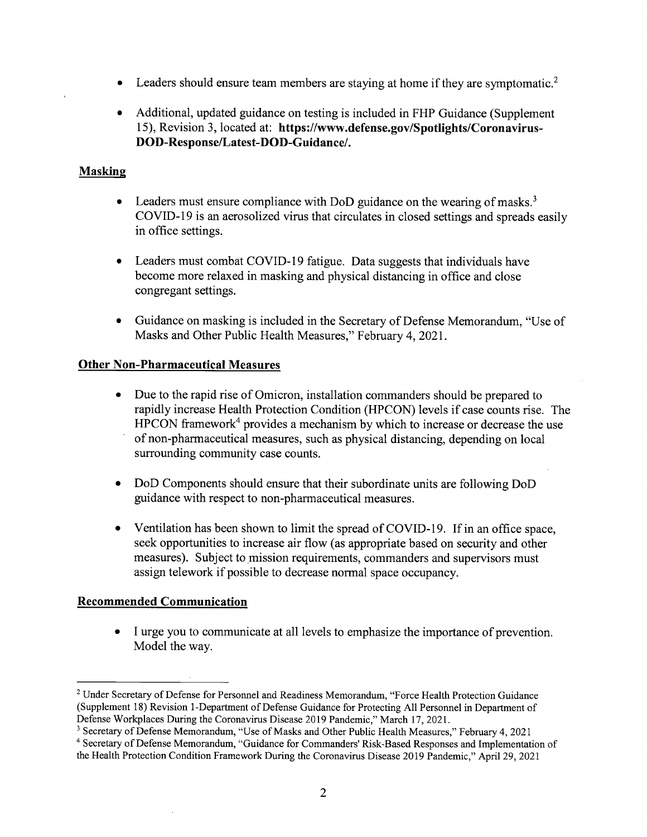- Leaders should ensure team members are staying at home if they are symptomatic.<sup>2</sup>
- Additional, updated guidance on testing is included in FHP Guidance (Supplement 15), Revision 3, located at: hffps://www.defense.gov/Spotlights/Coronavirus-DOD-Response/Latest-DOD-Guidance/.

## Maskine

- Leaders must ensure compliance with DoD guidance on the wearing of masks.<sup>3</sup> COVID-19 is an aerosolized virus that circulates in closed settings and spreads easily in office settings. o
- Leaders must combat COVID-I9 fatigue. Data suggests that individuals have become more relaxed in masking and physical distancing in office and close congregant settings. o
- $\bullet$ Guidance on masking is included in the Secretary of Defense Memorandum, "Use of Masks and Other Public Health Measures," February 4,2021.

#### Other Non-Pharmaceutical Measures

- Due to the rapid rise of Omicron, installation commanders should be prepared to rapidly increase Health Protection Condition (HPCON) levels if case counts rise. The HPCON framework<sup>4</sup> provides a mechanism by which to increase or decrease the use of non-pharmaceutical measures, such as physical distancing, depending on local surrounding community case counts.
- DoD Components should ensure that their subordinate units are following DoD guidance with respect to non-pharmaceutical measures.
- Ventilation has been shown to limit the spread of COVID-19. If in an office space, seek opportunities to increase air flow (as appropriate based on security and other measures). Subject to mission requirements, commanders and supervisors must assign telework if possible to decrease normal space occupancy.

#### Recommended Communication

• I urge you to communicate at all levels to emphasize the importance of prevention Model the way.

<sup>&</sup>lt;sup>2</sup> Under Secretary of Defense for Personnel and Readiness Memorandum, "Force Health Protection Guidance (Supplement l8) Revision l-Department of Defense Guidance for Protecting All Personnel in Department of Defense Workplaces During the Coronavirus Disease 2019 Pandemic," March 17, 2021.

<sup>&</sup>lt;sup>3</sup> Secretary of Defense Memorandum, "Use of Masks and Other Public Health Measures," February 4, 2021 and Secretary of Defense Memorandum, "Goo' of Manhe and Secretary Secretary of Defense Memorandum, "Guidance for Commanders' Risk-Based Responses and Implementation of the Health Protection Condition Framework During the Coronavirus Disease 2019 Pandemic," April 29, 2021